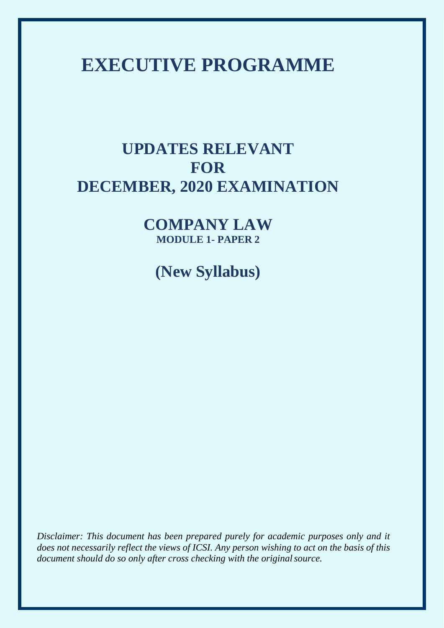# **EXECUTIVE PROGRAMME**

# **UPDATES RELEVANT FOR DECEMBER, 2020 EXAMINATION**

**COMPANY LAW MODULE 1- PAPER 2**

**(New Syllabus)**

*Disclaimer: This document has been prepared purely for academic purposes only and it does not necessarily reflect the views of ICSI. Any person wishing to act on the basis of this document should do so only after cross checking with the originalsource.*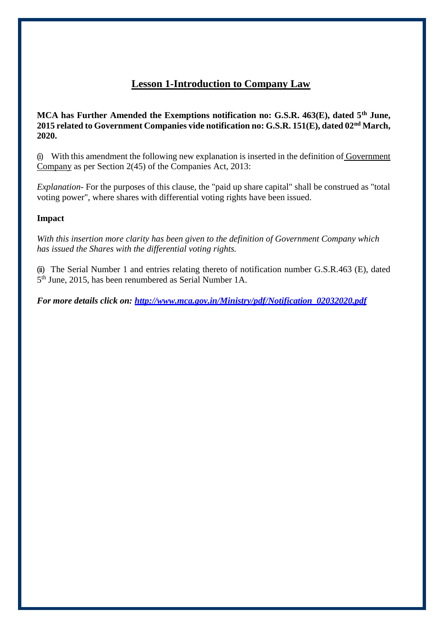# **Lesson 1-Introduction to Company Law**

**MCA has Further Amended the Exemptions notification no: G.S.R. 463(E), dated 5th June, 2015 related to Government Companies vide notification no: G.S.R. 151(E), dated 02nd March, 2020.**

(i) With this amendment the following new explanation is inserted in the definition of Government Company as per Section 2(45) of the Companies Act, 2013:

*Explanation-* For the purposes of this clause, the "paid up share capital" shall be construed as "total voting power", where shares with differential voting rights have been issued.

# **Impact**

*With this insertion more clarity has been given to the definition of Government Company which has issued the Shares with the differential voting rights.*

(ii) The Serial Number 1 and entries relating thereto of notification number G.S.R.463 (E), dated 5 th June, 2015, has been renumbered as Serial Number 1A.

*For more details click on: [http://www.mca.gov.in/Ministry/pdf/Notification\\_02032020.pdf](http://www.mca.gov.in/Ministry/pdf/Notification_02032020.pdf)*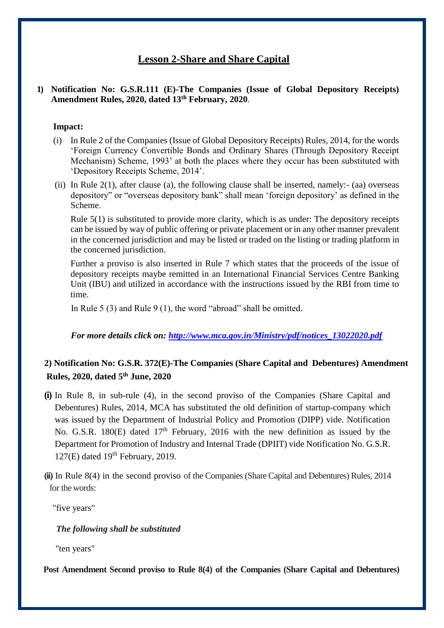# **Lesson 2-Share and Share Capital**

### **1) Notification No: G.S.R.111 (E)-The Companies (Issue of Global Depository Receipts) Amendment Rules, 2020, dated 13th February, 2020**.

### **Impact:**

- (i) In Rule 2 of the Companies (Issue of Global Depository Receipts) Rules, 2014, for the words 'Foreign Currency Convertible Bonds and Ordinary Shares (Through Depository Receipt Mechanism) Scheme, 1993' at both the places where they occur has been substituted with 'Depository Receipts Scheme, 2014'.
- (ii) In Rule  $2(1)$ , after clause (a), the following clause shall be inserted, namely:- (aa) overseas depository" or "overseas depository bank" shall mean 'foreign depository' as defined in the Scheme.

Rule 5(1) is substituted to provide more clarity, which is as under: The depository receipts can be issued by way of public offering or private placement or in any other manner prevalent in the concerned jurisdiction and may be listed or traded on the listing or trading platform in the concerned jurisdiction.

Further a proviso is also inserted in Rule 7 which states that the proceeds of the issue of depository receipts maybe remitted in an International Financial Services Centre Banking Unit (IBU) and utilized in accordance with the instructions issued by the RBI from time to time.

In Rule 5 (3) and Rule 9 (1), the word "abroad" shall be omitted.

### *For more details click on: [http://www.mca.gov.in/Ministry/pdf/notices\\_13022020.pdf](http://www.mca.gov.in/Ministry/pdf/notices_13022020.pdf)*

# **2) Notification No: G.S.R. 372(E)-The Companies (Share Capital and Debentures) Amendment Rules, 2020, dated 5th June, 2020**

- **(i)** In Rule 8, in sub-rule (4), in the second proviso of the Companies (Share Capital and Debentures) Rules, 2014, MCA has substituted the old definition of startup-company which was issued by the Department of Industrial Policy and Promotion (DIPP) vide. Notification No. G.S.R. 180(E) dated 17<sup>th</sup> February, 2016 with the new definition as issued by the Department for Promotion of Industry and Internal Trade (DPIIT) vide Notification No. G.S.R.  $127(E)$  dated  $19<sup>th</sup>$  February, 2019.
- **(ii)** In Rule 8(4) in the second proviso of the Companies (Share Capital and Debentures) Rules, 2014 for the words:

"five years"

### *The following shall be substituted*

"ten years"

 **Post Amendment Second proviso to Rule 8(4) of the Companies (Share Capital and Debentures)**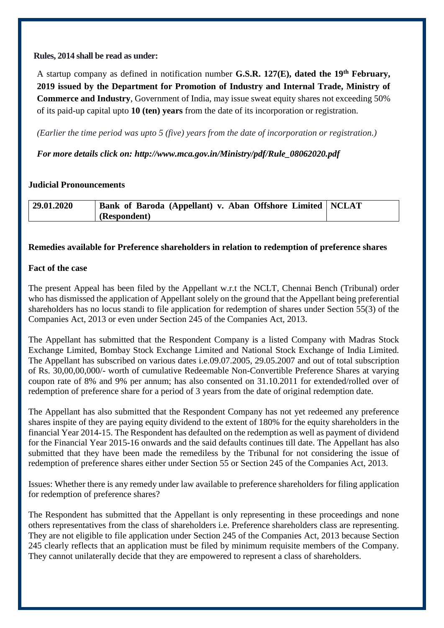### **Rules, 2014 shall be read as under:**

A startup company as defined in notification number **G.S.R. 127(E), dated the 19th February, 2019 issued by the Department for Promotion of Industry and Internal Trade, Ministry of Commerce and Industry**, Government of India, may issue sweat equity shares not exceeding 50% of its paid-up capital upto **10 (ten) years** from the date of its incorporation or registration.

*(Earlier the time period was upto 5 (five) years from the date of incorporation or registration.)*

*For more details click on: [http://www.mca.gov.in/Ministry/pdf/Rule\\_08062020.pdf](http://www.mca.gov.in/Ministry/pdf/Rule_08062020.pdf)*

# **Judicial Pronouncements**

| 29.01.2020 | <b>Bank of Baroda (Appellant) v. Aban Offshore Limited   NCLAT</b> |  |
|------------|--------------------------------------------------------------------|--|
|            | (Respondent)                                                       |  |

# **Remedies available for Preference shareholders in relation to redemption of preference shares**

### **Fact of the case**

The present Appeal has been filed by the Appellant w.r.t the NCLT, Chennai Bench (Tribunal) order who has dismissed the application of Appellant solely on the ground that the Appellant being preferential shareholders has no locus standi to file application for redemption of shares under Section 55(3) of the Companies Act, 2013 or even under Section 245 of the Companies Act, 2013.

The Appellant has submitted that the Respondent Company is a listed Company with Madras Stock Exchange Limited, Bombay Stock Exchange Limited and National Stock Exchange of India Limited. The Appellant has subscribed on various dates i.e.09.07.2005, 29.05.2007 and out of total subscription of Rs. 30,00,00,000/- worth of cumulative Redeemable Non-Convertible Preference Shares at varying coupon rate of 8% and 9% per annum; has also consented on 31.10.2011 for extended/rolled over of redemption of preference share for a period of 3 years from the date of original redemption date.

The Appellant has also submitted that the Respondent Company has not yet redeemed any preference shares inspite of they are paying equity dividend to the extent of 180% for the equity shareholders in the financial Year 2014-15. The Respondent has defaulted on the redemption as well as payment of dividend for the Financial Year 2015-16 onwards and the said defaults continues till date. The Appellant has also submitted that they have been made the remediless by the Tribunal for not considering the issue of redemption of preference shares either under Section 55 or Section 245 of the Companies Act, 2013.

Issues: Whether there is any remedy under law available to preference shareholders for filing application for redemption of preference shares?

The Respondent has submitted that the Appellant is only representing in these proceedings and none others representatives from the class of shareholders i.e. Preference shareholders class are representing. They are not eligible to file application under Section 245 of the Companies Act, 2013 because Section 245 clearly reflects that an application must be filed by minimum requisite members of the Company. They cannot unilaterally decide that they are empowered to represent a class of shareholders.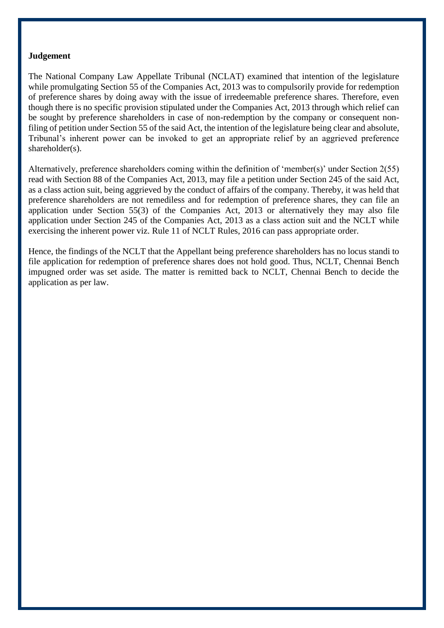### **Judgement**

The National Company Law Appellate Tribunal (NCLAT) examined that intention of the legislature while promulgating Section 55 of the Companies Act, 2013 was to compulsorily provide for redemption of preference shares by doing away with the issue of irredeemable preference shares. Therefore, even though there is no specific provision stipulated under the Companies Act, 2013 through which relief can be sought by preference shareholders in case of non-redemption by the company or consequent nonfiling of petition under Section 55 of the said Act, the intention of the legislature being clear and absolute, Tribunal's inherent power can be invoked to get an appropriate relief by an aggrieved preference shareholder(s).

Alternatively, preference shareholders coming within the definition of 'member(s)' under Section 2(55) read with Section 88 of the Companies Act, 2013, may file a petition under Section 245 of the said Act, as a class action suit, being aggrieved by the conduct of affairs of the company. Thereby, it was held that preference shareholders are not remediless and for redemption of preference shares, they can file an application under Section 55(3) of the Companies Act, 2013 or alternatively they may also file application under Section 245 of the Companies Act, 2013 as a class action suit and the NCLT while exercising the inherent power viz. Rule 11 of NCLT Rules, 2016 can pass appropriate order.

Hence, the findings of the NCLT that the Appellant being preference shareholders has no locus standi to file application for redemption of preference shares does not hold good. Thus, NCLT, Chennai Bench impugned order was set aside. The matter is remitted back to NCLT, Chennai Bench to decide the application as per law.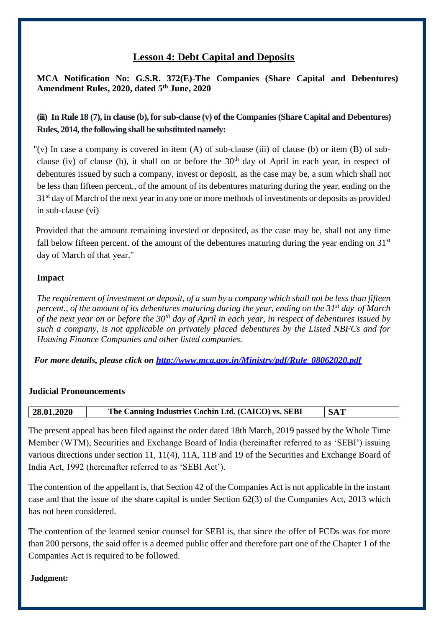# **Lesson 4: Debt Capital and Deposits**

**MCA Notification No: G.S.R. 372(E)-The Companies (Share Capital and Debentures) Amendment Rules, 2020, dated 5th June, 2020**

**(iii) In Rule 18 (7), in clause (b), for sub-clause (v) of the Companies(Share Capital and Debentures) Rules, 2014, the following shall be substituted namely:** 

"(v) In case a company is covered in item  $(A)$  of sub-clause (iii) of clause (b) or item  $(B)$  of subclause (iv) of clause (b), it shall on or before the  $30<sup>th</sup>$  day of April in each year, in respect of debentures issued by such a company, invest or deposit, as the case may be, a sum which shall not be less than fifteen percent., of the amount of its debentures maturing during the year, ending on the 31<sup>st</sup> day of March of the next year in any one or more methods of investments or deposits as provided in sub-clause (vi)

Provided that the amount remaining invested or deposited, as the case may be, shall not any time fall below fifteen percent. of the amount of the debentures maturing during the year ending on  $31<sup>st</sup>$ day of March of that year."

# **Impact**

*The requirement of investment or deposit, of a sum by a company which shall not be less than fifteen percent., of the amount of its debentures maturing during the year, ending on the 31st day of March of the next year on or before the 30th day of April in each year, in respect of debentures issued by such a company, is not applicable on privately placed debentures by the Listed NBFCs and for Housing Finance Companies and other listed companies.*

*For more details, please click on [http://www.mca.gov.in/Ministry/pdf/Rule\\_08062020.pdf](http://www.mca.gov.in/Ministry/pdf/Rule_08062020.pdf)*

# **Judicial Pronouncements**

| 28.01.2020 | The Canning Industries Cochin Ltd. (CAICO) vs. SEBI | <b>SAT</b> |
|------------|-----------------------------------------------------|------------|
|            |                                                     |            |

The present appeal has been filed against the order dated 18th March, 2019 passed by the Whole Time Member (WTM), Securities and Exchange Board of India (hereinafter referred to as 'SEBI') issuing various directions under section 11, 11(4), 11A, 11B and 19 of the Securities and Exchange Board of India Act, 1992 (hereinafter referred to as 'SEBI Act').

The contention of the appellant is, that Section 42 of the Companies Act is not applicable in the instant case and that the issue of the share capital is under Section 62(3) of the Companies Act, 2013 which has not been considered.

The contention of the learned senior counsel for SEBI is, that since the offer of FCDs was for more than 200 persons, the said offer is a deemed public offer and therefore part one of the Chapter 1 of the Companies Act is required to be followed.

### **Judgment:**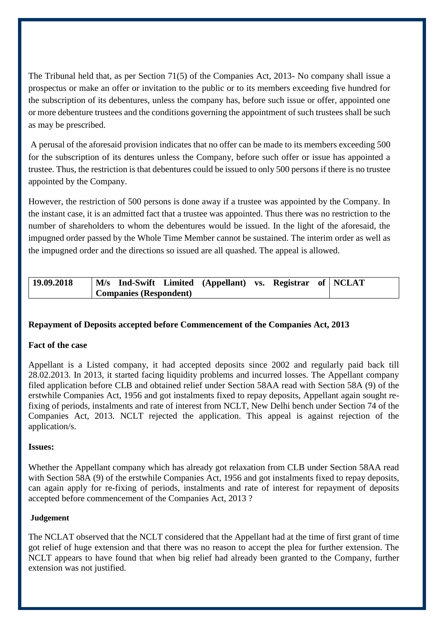The Tribunal held that, as per Section 71(5) of the Companies Act, 2013- No company shall issue a prospectus or make an offer or invitation to the public or to its members exceeding five hundred for the subscription of its debentures, unless the company has, before such issue or offer, appointed one or more debenture trustees and the conditions governing the appointment of such trustees shall be such as may be prescribed.

A perusal of the aforesaid provision indicates that no offer can be made to its members exceeding 500 for the subscription of its dentures unless the Company, before such offer or issue has appointed a trustee. Thus, the restriction is that debentures could be issued to only 500 persons if there is no trustee appointed by the Company.

However, the restriction of 500 persons is done away if a trustee was appointed by the Company. In the instant case, it is an admitted fact that a trustee was appointed. Thus there was no restriction to the number of shareholders to whom the debentures would be issued. In the light of the aforesaid, the impugned order passed by the Whole Time Member cannot be sustained. The interim order as well as the impugned order and the directions so issued are all quashed. The appeal is allowed.

| 19.09.2018 |                               | M/s Ind-Swift Limited (Appellant) vs. Registrar of NCLAT |  |  |
|------------|-------------------------------|----------------------------------------------------------|--|--|
|            | <b>Companies (Respondent)</b> |                                                          |  |  |

# **Repayment of Deposits accepted before Commencement of the Companies Act, 2013**

### **Fact of the case**

Appellant is a Listed company, it had accepted deposits since 2002 and regularly paid back till 28.02.2013. In 2013, it started facing liquidity problems and incurred losses. The Appellant company filed application before CLB and obtained relief under Section 58AA read with Section 58A (9) of the erstwhile Companies Act, 1956 and got instalments fixed to repay deposits, Appellant again sought refixing of periods, instalments and rate of interest from NCLT, New Delhi bench under Section 74 of the Companies Act, 2013. NCLT rejected the application. This appeal is against rejection of the application/s.

### **Issues:**

Whether the Appellant company which has already got relaxation from CLB under Section 58AA read with Section 58A (9) of the erstwhile Companies Act, 1956 and got instalments fixed to repay deposits, can again apply for re-fixing of periods, instalments and rate of interest for repayment of deposits accepted before commencement of the Companies Act, 2013 ?

### **Judgement**

The NCLAT observed that the NCLT considered that the Appellant had at the time of first grant of time got relief of huge extension and that there was no reason to accept the plea for further extension. The NCLT appears to have found that when big relief had already been granted to the Company, further extension was not justified.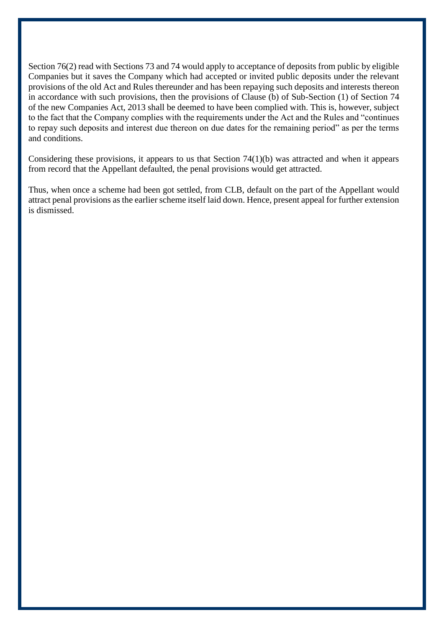Section 76(2) read with Sections 73 and 74 would apply to acceptance of deposits from public by eligible Companies but it saves the Company which had accepted or invited public deposits under the relevant provisions of the old Act and Rules thereunder and has been repaying such deposits and interests thereon in accordance with such provisions, then the provisions of Clause (b) of Sub-Section (1) of Section 74 of the new Companies Act, 2013 shall be deemed to have been complied with. This is, however, subject to the fact that the Company complies with the requirements under the Act and the Rules and "continues to repay such deposits and interest due thereon on due dates for the remaining period" as per the terms and conditions.

Considering these provisions, it appears to us that Section 74(1)(b) was attracted and when it appears from record that the Appellant defaulted, the penal provisions would get attracted.

Thus, when once a scheme had been got settled, from CLB, default on the part of the Appellant would attract penal provisions as the earlier scheme itself laid down. Hence, present appeal for further extension is dismissed.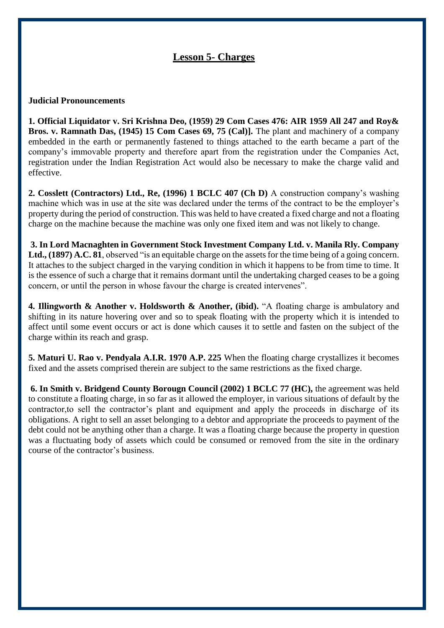# **Lesson 5- Charges**

### **Judicial Pronouncements**

**1. Official Liquidator v. Sri Krishna Deo, (1959) 29 Com Cases 476: AIR 1959 All 247 and Roy& Bros. v. Ramnath Das, (1945) 15 Com Cases 69, 75 (Cal)].** The plant and machinery of a company embedded in the earth or permanently fastened to things attached to the earth became a part of the company's immovable property and therefore apart from the registration under the Companies Act, registration under the Indian Registration Act would also be necessary to make the charge valid and effective.

**2. Cosslett (Contractors) Ltd., Re, (1996) 1 BCLC 407 (Ch D)** A construction company's washing machine which was in use at the site was declared under the terms of the contract to be the employer's property during the period of construction. This was held to have created a fixed charge and not a floating charge on the machine because the machine was only one fixed item and was not likely to change.

**3. In Lord Macnaghten in Government Stock Investment Company Ltd. v. Manila Rly. Company Ltd., (1897) A.C. 81**, observed "is an equitable charge on the assets for the time being of a going concern. It attaches to the subject charged in the varying condition in which it happens to be from time to time. It is the essence of such a charge that it remains dormant until the undertaking charged ceases to be a going concern, or until the person in whose favour the charge is created intervenes".

**4. Illingworth & Another v. Holdsworth & Another, (ibid).** "A floating charge is ambulatory and shifting in its nature hovering over and so to speak floating with the property which it is intended to affect until some event occurs or act is done which causes it to settle and fasten on the subject of the charge within its reach and grasp.

**5. Maturi U. Rao v. Pendyala A.I.R. 1970 A.P. 225** When the floating charge crystallizes it becomes fixed and the assets comprised therein are subject to the same restrictions as the fixed charge.

**6. In Smith v. Bridgend County Borougn Council (2002) 1 BCLC 77 (HC),** the agreement was held to constitute a floating charge, in so far as it allowed the employer, in various situations of default by the contractor,to sell the contractor's plant and equipment and apply the proceeds in discharge of its obligations. A right to sell an asset belonging to a debtor and appropriate the proceeds to payment of the debt could not be anything other than a charge. It was a floating charge because the property in question was a fluctuating body of assets which could be consumed or removed from the site in the ordinary course of the contractor's business.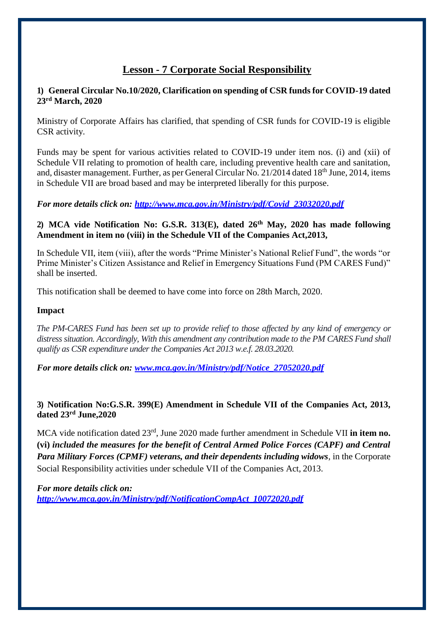# **Lesson - 7 Corporate Social Responsibility**

# **1) General Circular No.10/2020, Clarification on spending of CSR funds for COVID-19 dated 23rd March, 2020**

Ministry of Corporate Affairs has clarified, that spending of CSR funds for COVID-19 is eligible CSR activity.

Funds may be spent for various activities related to COVID-19 under item nos. (i) and (xii) of Schedule VII relating to promotion of health care, including preventive health care and sanitation, and, disaster management. Further, as per General Circular No. 21/2014 dated 18<sup>th</sup> June, 2014, items in Schedule VII are broad based and may be interpreted liberally for this purpose.

*For more details click on: [http://www.mca.gov.in/Ministry/pdf/Covid\\_23032020.pdf](http://www.mca.gov.in/Ministry/pdf/Covid_23032020.pdf)*

# **2) MCA vide Notification No: G.S.R. 313(E), dated 26th May, 2020 has made following Amendment in item no (viii) in the Schedule VII of the Companies Act,2013,**

In Schedule VII, item (viii), after the words "Prime Minister's National Relief Fund", the words "or Prime Minister's Citizen Assistance and Relief in Emergency Situations Fund (PM CARES Fund)" shall be inserted.

This notification shall be deemed to have come into force on 28th March, 2020.

### **Impact**

*The PM-CARES Fund has been set up to provide relief to those affected by any kind of emergency or distress situation. Accordingly, With this amendment any contribution made to the PM CARES Fund shall qualify as CSR expenditure under the Companies Act 2013 w.e.f. 28.03.2020.*

*For more details click on: [www.mca.gov.in/Ministry/pdf/Notice\\_27052020.pdf](http://www.mca.gov.in/Ministry/pdf/Notice_27052020.pdf)*

# **3) Notification No:G.S.R. 399(E) Amendment in Schedule VII of the Companies Act, 2013, dated 23rd June,2020**

MCA vide notification dated 23rd, June 2020 made further amendment in Schedule VII **in item no. (vi)** *included the measures for the benefit of Central Armed Police Forces (CAPF) and Central Para Military Forces (CPMF) veterans, and their dependents including widows*, in the Corporate Social Responsibility activities under schedule VII of the Companies Act, 2013.

*For more details click on: [http://www.mca.gov.in/Ministry/pdf/NotificationCompAct\\_10072020.pdf](http://www.mca.gov.in/Ministry/pdf/NotificationCompAct_10072020.pdf)*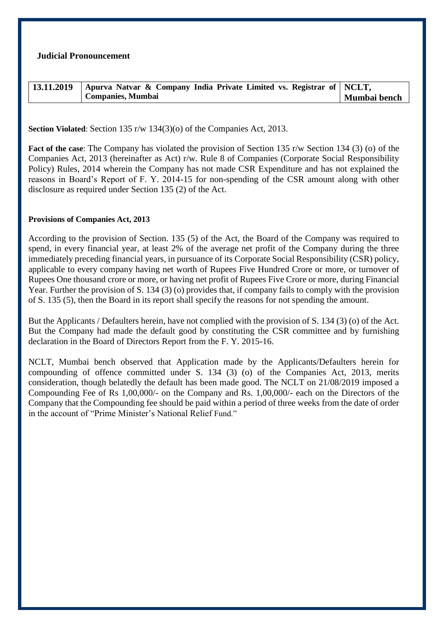### **Judicial Pronouncement**

| 13.11.2019 | Apurva Natvar & Company India Private Limited vs. Registrar of $NCLT$ , |              |
|------------|-------------------------------------------------------------------------|--------------|
|            | <b>Companies, Mumbai</b>                                                | Mumbai bench |

**Section Violated**: Section 135 r/w 134(3)(o) of the Companies Act, 2013.

**Fact of the case**: The Company has violated the provision of Section 135 r/w Section 134 (3) (o) of the Companies Act, 2013 (hereinafter as Act) r/w. Rule 8 of Companies (Corporate Social Responsibility Policy) Rules, 2014 wherein the Company has not made CSR Expenditure and has not explained the reasons in Board's Report of F. Y. 2014-15 for non-spending of the CSR amount along with other disclosure as required under Section 135 (2) of the Act.

### **Provisions of Companies Act, 2013**

According to the provision of Section. 135 (5) of the Act, the Board of the Company was required to spend, in every financial year, at least 2% of the average net profit of the Company during the three immediately preceding financial years, in pursuance of its Corporate Social Responsibility (CSR) policy, applicable to every company having net worth of Rupees Five Hundred Crore or more, or turnover of Rupees One thousand crore or more, or having net profit of Rupees Five Crore or more, during Financial Year. Further the provision of S. 134 (3) (o) provides that, if company fails to comply with the provision of S. 135 (5), then the Board in its report shall specify the reasons for not spending the amount.

But the Applicants / Defaulters herein, have not complied with the provision of S. 134 (3) (o) of the Act. But the Company had made the default good by constituting the CSR committee and by furnishing declaration in the Board of Directors Report from the F. Y. 2015-16.

NCLT, Mumbai bench observed that Application made by the Applicants/Defaulters herein for compounding of offence committed under S. 134 (3) (o) of the Companies Act, 2013, merits consideration, though belatedly the default has been made good. The NCLT on 21/08/2019 imposed a Compounding Fee of Rs 1,00,000/- on the Company and Rs. 1,00,000/- each on the Directors of the Company that the Compounding fee should be paid within a period of three weeks from the date of order in the account of "Prime Minister's National Relief Fund."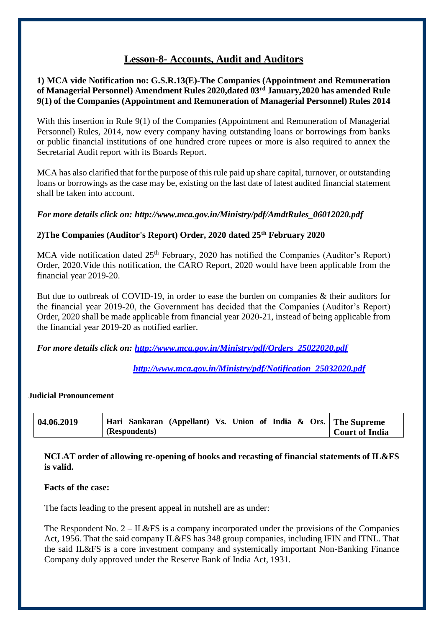# **Lesson-8- Accounts, Audit and Auditors**

**1) MCA vide Notification no: G.S.R.13(E)-The Companies (Appointment and Remuneration of Managerial Personnel) Amendment Rules 2020,dated 03rd January,2020 has amended Rule 9(1) of the Companies (Appointment and Remuneration of Managerial Personnel) Rules 2014**

With this insertion in Rule 9(1) of the Companies (Appointment and Remuneration of Managerial Personnel) Rules, 2014, now every company having outstanding loans or borrowings from banks or public financial institutions of one hundred crore rupees or more is also required to annex the Secretarial Audit report with its Boards Report.

MCA has also clarified that for the purpose of this rule paid up share capital, turnover, or outstanding loans or borrowings as the case may be, existing on the last date of latest audited financial statement shall be taken into account.

### *For more details click on: [http://www.mca.gov.in/Ministry/pdf/AmdtRules\\_06012020.pdf](http://www.mca.gov.in/Ministry/pdf/AmdtRules_06012020.pdf)*

### **2)The Companies (Auditor's Report) Order, 2020 dated 25th February 2020**

MCA vide notification dated 25<sup>th</sup> February, 2020 has notified the Companies (Auditor's Report) Order, 2020.Vide this notification, the CARO Report, 2020 would have been applicable from the financial year 2019-20.

But due to outbreak of COVID-19, in order to ease the burden on companies & their auditors for the financial year 2019-20, the Government has decided that the Companies (Auditor's Report) Order, 2020 shall be made applicable from financial year 2020-21, instead of being applicable from the financial year 2019-20 as notified earlier.

*For more details click on: [http://www.mca.gov.in/Ministry/pdf/Orders\\_25022020.pdf](http://www.mca.gov.in/Ministry/pdf/Orders_25022020.pdf)*

*[http://www.mca.gov.in/Ministry/pdf/Notification\\_25032020.pdf](http://www.mca.gov.in/Ministry/pdf/Notification_25032020.pdf)*

#### **Judicial Pronouncement**

| 04.06.2019 | Hari Sankaran (Appellant) Vs. Union of India & Ors. The Supreme |                |
|------------|-----------------------------------------------------------------|----------------|
|            | (Respondents)                                                   | Court of India |

**NCLAT order of allowing re-opening of books and recasting of financial statements of IL&FS is valid.** 

#### **Facts of the case:**

The facts leading to the present appeal in nutshell are as under:

The Respondent No. 2 – IL&FS is a company incorporated under the provisions of the Companies Act, 1956. That the said company IL&FS has 348 group companies, including IFIN and ITNL. That the said IL&FS is a core investment company and systemically important Non-Banking Finance Company duly approved under the Reserve Bank of India Act, 1931.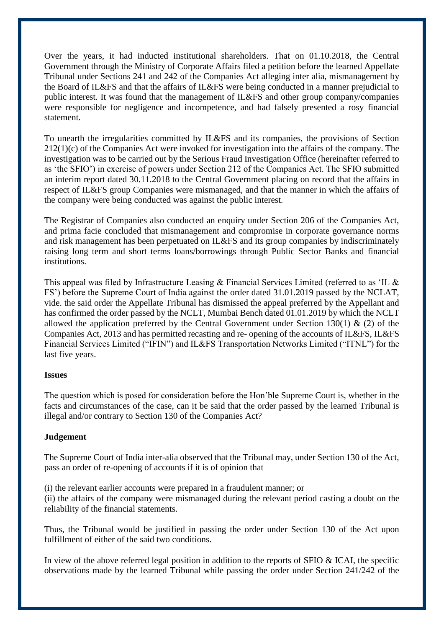Over the years, it had inducted institutional shareholders. That on 01.10.2018, the Central Government through the Ministry of Corporate Affairs filed a petition before the learned Appellate Tribunal under Sections 241 and 242 of the Companies Act alleging inter alia, mismanagement by the Board of IL&FS and that the affairs of IL&FS were being conducted in a manner prejudicial to public interest. It was found that the management of IL&FS and other group company/companies were responsible for negligence and incompetence, and had falsely presented a rosy financial statement.

To unearth the irregularities committed by IL&FS and its companies, the provisions of Section 212(1)(c) of the Companies Act were invoked for investigation into the affairs of the company. The investigation was to be carried out by the Serious Fraud Investigation Office (hereinafter referred to as 'the SFIO') in exercise of powers under Section 212 of the Companies Act. The SFIO submitted an interim report dated 30.11.2018 to the Central Government placing on record that the affairs in respect of IL&FS group Companies were mismanaged, and that the manner in which the affairs of the company were being conducted was against the public interest.

The Registrar of Companies also conducted an enquiry under Section 206 of the Companies Act, and prima facie concluded that mismanagement and compromise in corporate governance norms and risk management has been perpetuated on IL&FS and its group companies by indiscriminately raising long term and short terms loans/borrowings through Public Sector Banks and financial institutions.

This appeal was filed by Infrastructure Leasing  $\&$  Financial Services Limited (referred to as 'IL  $\&$ FS') before the Supreme Court of India against the order dated 31.01.2019 passed by the NCLAT, vide. the said order the Appellate Tribunal has dismissed the appeal preferred by the Appellant and has confirmed the order passed by the NCLT, Mumbai Bench dated 01.01.2019 by which the NCLT allowed the application preferred by the Central Government under Section 130(1)  $\&$  (2) of the Companies Act, 2013 and has permitted recasting and re- opening of the accounts of IL&FS, IL&FS Financial Services Limited ("IFIN") and IL&FS Transportation Networks Limited ("ITNL") for the last five years.

### **Issues**

The question which is posed for consideration before the Hon'ble Supreme Court is, whether in the facts and circumstances of the case, can it be said that the order passed by the learned Tribunal is illegal and/or contrary to Section 130 of the Companies Act?

# **Judgement**

 The Supreme Court of India inter-alia observed that the Tribunal may, under Section 130 of the Act, pass an order of re-opening of accounts if it is of opinion that

(i) the relevant earlier accounts were prepared in a fraudulent manner; or

(ii) the affairs of the company were mismanaged during the relevant period casting a doubt on the reliability of the financial statements.

Thus, the Tribunal would be justified in passing the order under Section 130 of the Act upon fulfillment of either of the said two conditions.

In view of the above referred legal position in addition to the reports of SFIO & ICAI, the specific observations made by the learned Tribunal while passing the order under Section 241/242 of the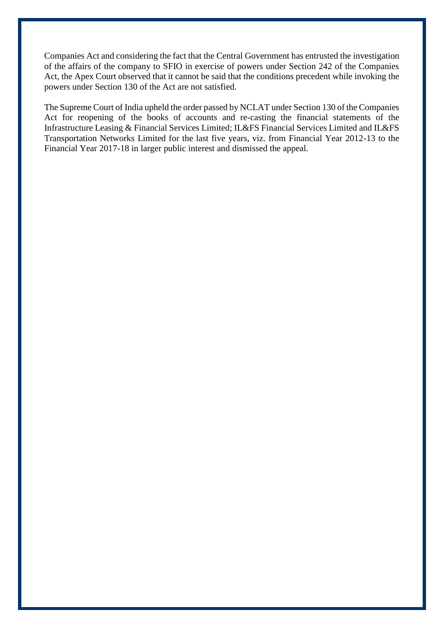Companies Act and considering the fact that the Central Government has entrusted the investigation of the affairs of the company to SFIO in exercise of powers under Section 242 of the Companies Act, the Apex Court observed that it cannot be said that the conditions precedent while invoking the powers under Section 130 of the Act are not satisfied.

The Supreme Court of India upheld the order passed by NCLAT under Section 130 of the Companies Act for reopening of the books of accounts and re-casting the financial statements of the Infrastructure Leasing & Financial Services Limited; IL&FS Financial Services Limited and IL&FS Transportation Networks Limited for the last five years, viz. from Financial Year 2012-13 to the Financial Year 2017-18 in larger public interest and dismissed the appeal.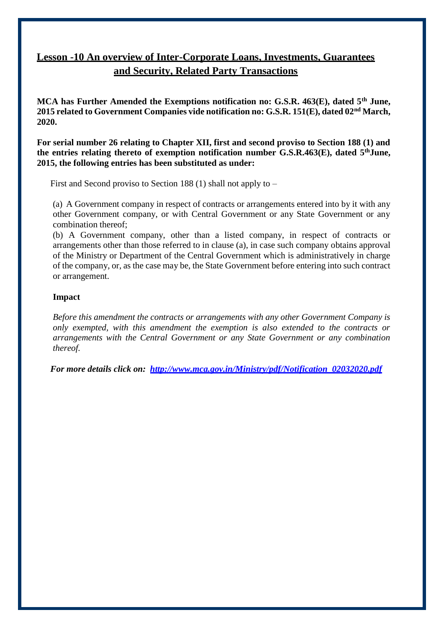# **Lesson -10 An overview of Inter-Corporate Loans, Investments, Guarantees and Security, Related Party Transactions**

**MCA has Further Amended the Exemptions notification no: G.S.R. 463(E), dated 5th June, 2015 related to Government Companies vide notification no: G.S.R. 151(E), dated 02nd March, 2020.**

**For serial number 26 relating to Chapter XII, first and second proviso to Section 188 (1) and the entries relating thereto of exemption notification number G.S.R.463(E), dated 5thJune, 2015, the following entries has been substituted as under:**

First and Second proviso to Section 188 (1) shall not apply to –

(a) A Government company in respect of contracts or arrangements entered into by it with any other Government company, or with Central Government or any State Government or any combination thereof;

(b) A Government company, other than a listed company, in respect of contracts or arrangements other than those referred to in clause (a), in case such company obtains approval of the Ministry or Department of the Central Government which is administratively in charge of the company, or, as the case may be, the State Government before entering into such contract or arrangement.

# **Impact**

*Before this amendment the contracts or arrangements with any other Government Company is only exempted, with this amendment the exemption is also extended to the contracts or arrangements with the Central Government or any State Government or any combination thereof.*

*For more details click on: [http://www.mca.gov.in/Ministry/pdf/Notification\\_02032020.pdf](http://www.mca.gov.in/Ministry/pdf/Notification_02032020.pdf)*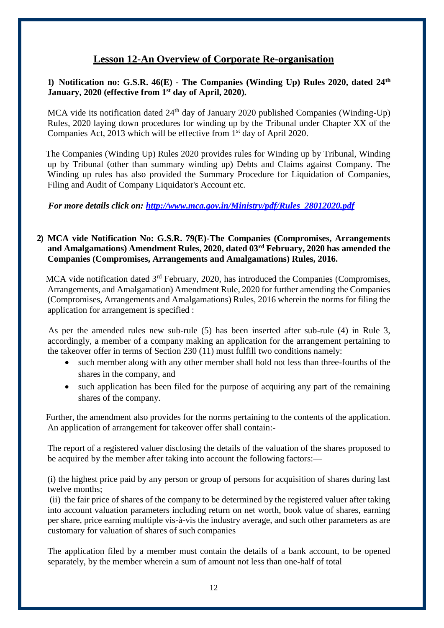# **Lesson 12-An Overview of Corporate Re-organisation**

# **1) Notification no: G.S.R. 46(E) - The Companies (Winding Up) Rules 2020, dated 24th January, 2020 (effective from 1st day of April, 2020).**

MCA vide its notification dated 24<sup>th</sup> day of January 2020 published Companies (Winding-Up) Rules, 2020 laying down procedures for winding up by the Tribunal under Chapter XX of the Companies Act, 2013 which will be effective from 1<sup>st</sup> day of April 2020.

The Companies (Winding Up) Rules 2020 provides rules for Winding up by Tribunal, Winding up by Tribunal (other than summary winding up) Debts and Claims against Company. The Winding up rules has also provided the Summary Procedure for Liquidation of Companies, Filing and Audit of Company Liquidator's Account etc.

*For more details click on: [http://www.mca.gov.in/Ministry/pdf/Rules\\_28012020.pdf](http://www.mca.gov.in/Ministry/pdf/Rules_28012020.pdf)*

# **2) MCA vide Notification No: G.S.R. 79(E)-The Companies (Compromises, Arrangements and Amalgamations) Amendment Rules, 2020, dated 03rd February, 2020 has amended the Companies (Compromises, Arrangements and Amalgamations) Rules, 2016.**

MCA vide notification dated 3<sup>rd</sup> February, 2020, has introduced the Companies (Compromises, Arrangements, and Amalgamation) Amendment Rule, 2020 for further amending the Companies (Compromises, Arrangements and Amalgamations) Rules, 2016 wherein the norms for filing the application for arrangement is specified :

As per the amended rules new sub-rule (5) has been inserted after sub-rule (4) in Rule 3, accordingly, a member of a company making an application for the arrangement pertaining to the takeover offer in terms of Section 230 (11) must fulfill two conditions namely:

- such member along with any other member shall hold not less than three-fourths of the shares in the company, and
- such application has been filed for the purpose of acquiring any part of the remaining shares of the company.

Further, the amendment also provides for the norms pertaining to the contents of the application. An application of arrangement for takeover offer shall contain:-

The report of a registered valuer disclosing the details of the valuation of the shares proposed to be acquired by the member after taking into account the following factors:—

(i) the highest price paid by any person or group of persons for acquisition of shares during last twelve months;

(ii) the fair price of shares of the company to be determined by the registered valuer after taking into account valuation parameters including return on net worth, book value of shares, earning per share, price earning multiple vis-à-vis the industry average, and such other parameters as are customary for valuation of shares of such companies

The application filed by a member must contain the details of a bank account, to be opened separately, by the member wherein a sum of amount not less than one-half of total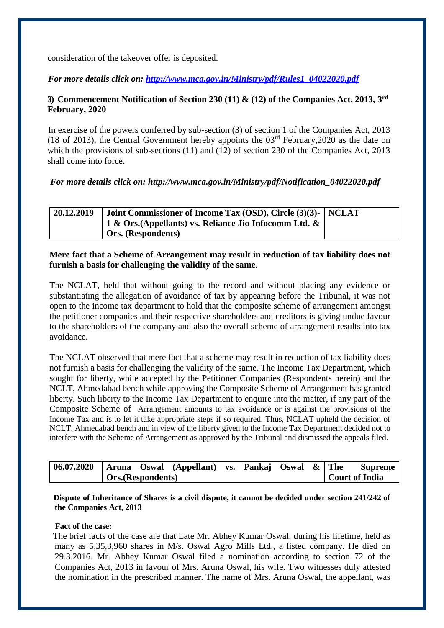consideration of the takeover offer is deposited.

*For more details click on: [http://www.mca.gov.in/Ministry/pdf/Rules1\\_04022020.pdf](http://www.mca.gov.in/Ministry/pdf/Rules1_04022020.pdf)*

# **3) Commencement Notification of Section 230 (11) & (12) of the Companies Act, 2013, 3 rd February, 2020**

In exercise of the powers conferred by sub-section (3) of section 1 of the Companies Act, 2013 (18 of 2013), the Central Government hereby appoints the  $03<sup>rd</sup>$  February, 2020 as the date on which the provisions of sub-sections (11) and (12) of section 230 of the Companies Act, 2013 shall come into force.

# *For more details click on: [http://www.mca.gov.in/Ministry/pdf/Notification\\_04022020.pdf](http://www.mca.gov.in/Ministry/pdf/Notification_04022020.pdf)*

| 20.12.2019 | Joint Commissioner of Income Tax (OSD), Circle (3)(3)- NCLAT   |  |
|------------|----------------------------------------------------------------|--|
|            | $\perp$ 1 & Ors. (Appellants) vs. Reliance Jio Infocomm Ltd. & |  |
|            | <b>Ors.</b> (Respondents)                                      |  |

### **Mere fact that a Scheme of Arrangement may result in reduction of tax liability does not furnish a basis for challenging the validity of the same**.

The NCLAT, held that without going to the record and without placing any evidence or substantiating the allegation of avoidance of tax by appearing before the Tribunal, it was not open to the income tax department to hold that the composite scheme of arrangement amongst the petitioner companies and their respective shareholders and creditors is giving undue favour to the shareholders of the company and also the overall scheme of arrangement results into tax avoidance.

The NCLAT observed that mere fact that a scheme may result in reduction of tax liability does not furnish a basis for challenging the validity of the same. The Income Tax Department, which sought for liberty, while accepted by the Petitioner Companies (Respondents herein) and the NCLT, Ahmedabad bench while approving the Composite Scheme of Arrangement has granted liberty. Such liberty to the Income Tax Department to enquire into the matter, if any part of the Composite Scheme of Arrangement amounts to tax avoidance or is against the provisions of the Income Tax and is to let it take appropriate steps if so required. Thus, NCLAT upheld the decision of NCLT, Ahmedabad bench and in view of the liberty given to the Income Tax Department decided not to interfere with the Scheme of Arrangement as approved by the Tribunal and dismissed the appeals filed.

| 06.07.2020   Aruna Oswal (Appellant) vs. Pankaj Oswal $\&$ The |                    |  |  |  |                | <b>Supreme</b> |
|----------------------------------------------------------------|--------------------|--|--|--|----------------|----------------|
|                                                                | Ors. (Respondents) |  |  |  | Court of India |                |

 **Dispute of Inheritance of Shares is a civil dispute, it cannot be decided under section 241/242 of the Companies Act, 2013**

### **Fact of the case:**

 The brief facts of the case are that Late Mr. Abhey Kumar Oswal, during his lifetime, held as many as 5,35,3,960 shares in M/s. Oswal Agro Mills Ltd., a listed company. He died on 29.3.2016. Mr. Abhey Kumar Oswal filed a nomination according to section 72 of the Companies Act, 2013 in favour of Mrs. Aruna Oswal, his wife. Two witnesses duly attested the nomination in the prescribed manner. The name of Mrs. Aruna Oswal, the appellant, was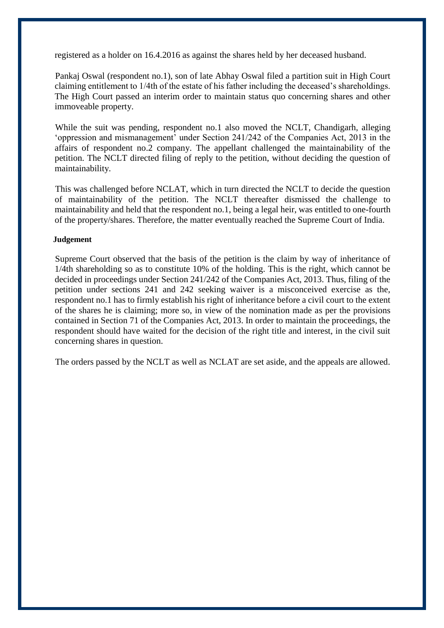registered as a holder on 16.4.2016 as against the shares held by her deceased husband.

 Pankaj Oswal (respondent no.1), son of late Abhay Oswal filed a partition suit in High Court claiming entitlement to 1/4th of the estate of his father including the deceased's shareholdings. The High Court passed an interim order to maintain status quo concerning shares and other immoveable property.

While the suit was pending, respondent no.1 also moved the NCLT, Chandigarh, alleging 'oppression and mismanagement' under Section 241/242 of the Companies Act, 2013 in the affairs of respondent no.2 company. The appellant challenged the maintainability of the petition. The NCLT directed filing of reply to the petition, without deciding the question of maintainability.

 This was challenged before NCLAT, which in turn directed the NCLT to decide the question of maintainability of the petition. The NCLT thereafter dismissed the challenge to maintainability and held that the respondent no.1, being a legal heir, was entitled to one-fourth of the property/shares. Therefore, the matter eventually reached the Supreme Court of India.

#### **Judgement**

 Supreme Court observed that the basis of the petition is the claim by way of inheritance of 1/4th shareholding so as to constitute 10% of the holding. This is the right, which cannot be decided in proceedings under Section 241/242 of the Companies Act, 2013. Thus, filing of the petition under sections 241 and 242 seeking waiver is a misconceived exercise as the, respondent no.1 has to firmly establish his right of inheritance before a civil court to the extent of the shares he is claiming; more so, in view of the nomination made as per the provisions contained in Section 71 of the Companies Act, 2013. In order to maintain the proceedings, the respondent should have waited for the decision of the right title and interest, in the civil suit concerning shares in question.

The orders passed by the NCLT as well as NCLAT are set aside, and the appeals are allowed.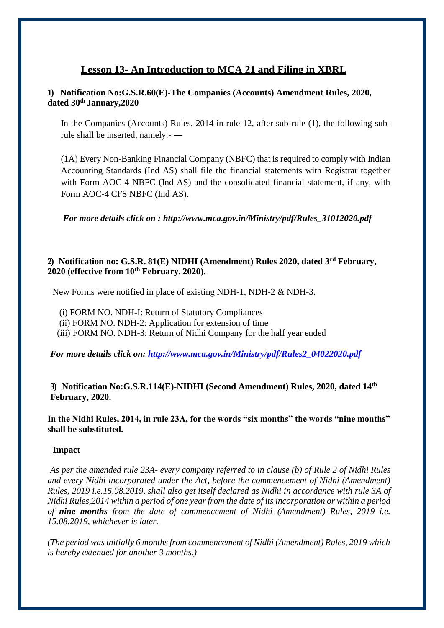# **Lesson 13- An Introduction to MCA 21 and Filing in XBRL**

# **1) Notification No:G.S.R.60(E)-The Companies (Accounts) Amendment Rules, 2020, dated 30th January,2020**

In the Companies (Accounts) Rules, 2014 in rule 12, after sub-rule (1), the following subrule shall be inserted, namely:- ―

(1A) Every Non-Banking Financial Company (NBFC) that is required to comply with Indian Accounting Standards (Ind AS) shall file the financial statements with Registrar together with Form AOC-4 NBFC (Ind AS) and the consolidated financial statement, if any, with Form AOC-4 CFS NBFC (Ind AS).

*For more details click on : [http://www.mca.gov.in/Ministry/pdf/Rules\\_31012020.pdf](http://www.mca.gov.in/Ministry/pdf/Rules_31012020.pdf)*

### **2) Notification no: G.S.R. 81(E) NIDHI (Amendment) Rules 2020, dated 3rd February, 2020 (effective from 10th February, 2020).**

New Forms were notified in place of existing NDH-1, NDH-2 & NDH-3.

- (i) FORM NO. NDH-I: Return of Statutory Compliances
- (ii) FORM NO. NDH-2: Application for extension of time
- (iii) FORM NO. NDH-3: Return of Nidhi Company for the half year ended

*For more details click on: [http://www.mca.gov.in/Ministry/pdf/Rules2\\_04022020.pdf](http://www.mca.gov.in/Ministry/pdf/Rules2_04022020.pdf)*

### **3) Notification No:G.S.R.114(E)-NIDHI (Second Amendment) Rules, 2020, dated 14th February, 2020.**

**In the Nidhi Rules, 2014, in rule 23A, for the words "six months" the words "nine months" shall be substituted.**

### **Impact**

*As per the amended rule 23A- every company referred to in clause (b) of [Rule 2 o](http://ebook.mca.gov.in/Actpagedisplay.aspx?PAGENAME=18220)f Nidhi Rules and every Nidhi incorporated under the Act, before the commencement of Nidhi (Amendment) Rules, 2019 i.e.15.08.2019, shall also get itself declared as Nidhi in accordance with [rule 3A o](http://ebook.mca.gov.in/Actpagedisplay.aspx?PAGENAME=28472)f Nidhi Rules,2014 within a period of one year from the date of its incorporation or within a period of nine months from the date of commencement of Nidhi (Amendment) Rules, 2019 i.e. 15.08.2019, whichever is later.*

*(The period was initially 6 months from commencement of Nidhi (Amendment) Rules, 2019 which is hereby extended for another 3 months.)*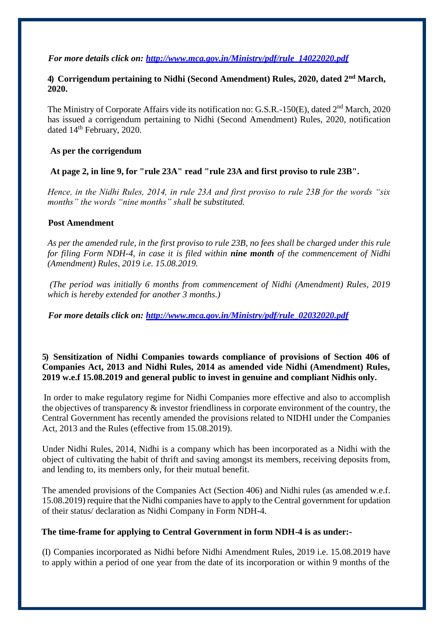### *For more details click on: [http://www.mca.gov.in/Ministry/pdf/rule\\_14022020.pdf](http://www.mca.gov.in/Ministry/pdf/rule_14022020.pdf)*

### **4) Corrigendum pertaining to Nidhi (Second Amendment) Rules, 2020, dated 2nd March, 2020.**

The Ministry of Corporate Affairs vide its notification no: G.S.R.-150(E), dated 2<sup>nd</sup> March, 2020 has issued a corrigendum pertaining to Nidhi (Second Amendment) Rules, 2020, notification dated 14<sup>th</sup> February, 2020.

### **As per the corrigendum**

**At page 2, in line 9, for "rule 23A" read "rule 23A and first proviso to rule 23B".**

*Hence, in the Nidhi Rules, 2014, in rule 23A and first proviso to rule 23B for the words "six months" the words "nine months" shall be substituted.*

### **Post Amendment**

*As per the amended rule, in the first proviso to rule 23B, no fees shall be charged under this rule for filing Form NDH-4, in case it is filed within nine month of the commencement of Nidhi (Amendment) Rules, 2019 i.e. 15.08.2019.*

*(The period was initially 6 months from commencement of Nidhi (Amendment) Rules, 2019 which is hereby extended for another 3 months.)*

*For more details click on: [http://www.mca.gov.in/Ministry/pdf/rule\\_02032020.pdf](http://www.mca.gov.in/Ministry/pdf/rule_02032020.pdf)*

# **5) Sensitization of Nidhi Companies towards compliance of provisions of Section 406 of Companies Act, 2013 and Nidhi Rules, 2014 as amended vide Nidhi (Amendment) Rules, 2019 w.e.f 15.08.2019 and general public to invest in genuine and compliant Nidhis only.**

In order to make regulatory regime for Nidhi Companies more effective and also to accomplish the objectives of transparency & investor friendliness in corporate environment of the country, the Central Government has recently amended the provisions related to NIDHI under the Companies Act, 2013 and the Rules (effective from 15.08.2019).

Under Nidhi Rules, 2014, Nidhi is a company which has been incorporated as a Nidhi with the object of cultivating the habit of thrift and saving amongst its members, receiving deposits from, and lending to, its members only, for their mutual benefit.

The amended provisions of the Companies Act (Section 406) and Nidhi rules (as amended w.e.f. 15.08.2019) require that the Nidhi companies have to apply to the Central government for updation of their status/ declaration as Nidhi Company in Form NDH-4.

# **The time-frame for applying to Central Government in form NDH-4 is as under:-**

(I) Companies incorporated as Nidhi before Nidhi Amendment Rules, 2019 i.e. 15.08.2019 have to apply within a period of one year from the date of its incorporation or within 9 months of the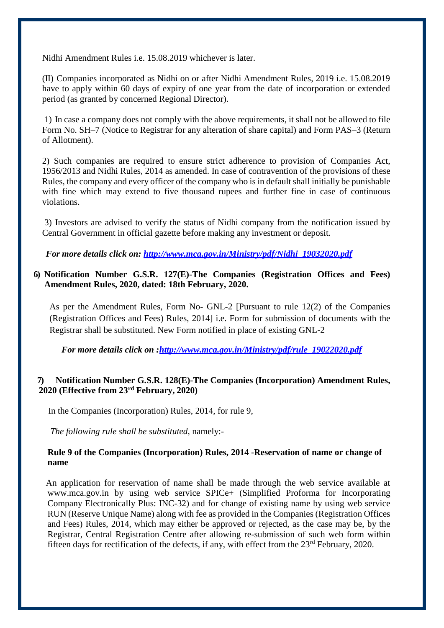Nidhi Amendment Rules i.e. 15.08.2019 whichever is later.

(II) Companies incorporated as Nidhi on or after Nidhi Amendment Rules, 2019 i.e. 15.08.2019 have to apply within 60 days of expiry of one year from the date of incorporation or extended period (as granted by concerned Regional Director).

1) In case a company does not comply with the above requirements, it shall not be allowed to file Form No. SH–7 (Notice to Registrar for any alteration of share capital) and Form PAS–3 (Return of Allotment).

2) Such companies are required to ensure strict adherence to provision of Companies Act, 1956/2013 and Nidhi Rules, 2014 as amended. In case of contravention of the provisions of these Rules, the company and every officer of the company who is in default shall initially be punishable with fine which may extend to five thousand rupees and further fine in case of continuous violations.

3) Investors are advised to verify the status of Nidhi company from the notification issued by Central Government in official gazette before making any investment or deposit.

*For more details click on: [http://www.mca.gov.in/Ministry/pdf/Nidhi\\_19032020.pdf](http://www.mca.gov.in/Ministry/pdf/Nidhi_19032020.pdf)*

### **6) Notification Number G.S.R. 127(E)-The Companies (Registration Offices and Fees) Amendment Rules, 2020, dated: 18th February, 2020.**

As per the Amendment Rules, Form No- GNL-2 [Pursuant to rule 12(2) of the Companies (Registration Offices and Fees) Rules, 2014] i.e. Form for submission of documents with the Registrar shall be substituted. New Form notified in place of existing GNL-2

*For more details click on :http://www.mca.gov.in/Ministry/pdf/rule 19022020.pdf* 

# **7) Notification Number G.S.R. 128(E)-The Companies (Incorporation) Amendment Rules, 2020 (Effective from 23rd February, 2020)**

In the Companies (Incorporation) Rules, 2014, for rule 9,

*The following rule shall be substituted,* namely:-

### **Rule 9 of the Companies (Incorporation) Rules, 2014 -Reservation of name or change of name**

An application for reservation of name shall be made through the web service available at [www.mca.gov.in](http://www.mca.gov.in/) by using web service SPICe+ (Simplified Proforma for Incorporating Company Electronically Plus: INC-32) and for change of existing name by using web service RUN (Reserve Unique Name) along with fee as provided in the Companies (Registration Offices and Fees) Rules, 2014, which may either be approved or rejected, as the case may be, by the Registrar, Central Registration Centre after allowing re-submission of such web form within fifteen days for rectification of the defects, if any, with effect from the 23<sup>rd</sup> February, 2020.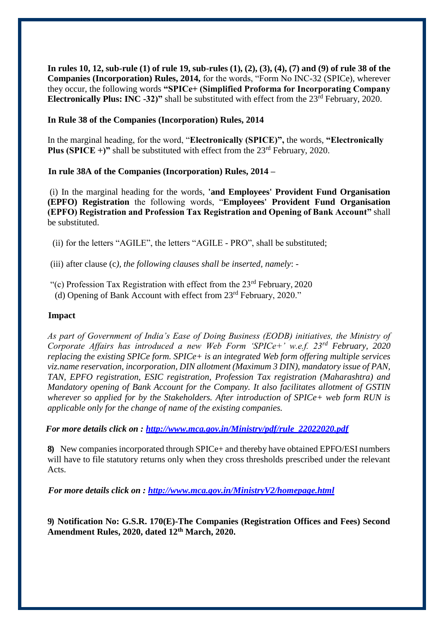**In rules 10, 12, sub-rule (1) of rule 19, sub-rules (1), (2), (3), (4), (7) and (9) of rule 38 of the Companies (Incorporation) Rules, 2014,** for the words, "Form No INC-32 (SPICe), wherever they occur, the following words **"SPICe+ (Simplified Proforma for Incorporating Company Electronically Plus: INC -32)"** shall be substituted with effect from the 23<sup>rd</sup> February, 2020.

### **In Rule 38 of the Companies (Incorporation) Rules, 2014**

In the marginal heading, for the word, "**Electronically (SPICE)",** the words, **"Electronically Plus (SPICE +)"** shall be substituted with effect from the  $23<sup>rd</sup>$  February, 2020.

### **In rule 38A of the Companies (Incorporation) Rules, 2014 –**

(i) In the marginal heading for the words, **'and Employees' Provident Fund Organisation (EPFO) Registration** the following words, "**Employees' Provident Fund Organisation (EPFO) Registration and Profession Tax Registration and Opening of Bank Account"** shall be substituted.

(ii) for the letters "AGILE", the letters "AGILE - PRO", shall be substituted;

(iii) after clause (c*), the following clauses shall be inserted, namely*: -

- "(c) Profession Tax Registration with effect from the  $23<sup>rd</sup>$  February, 2020
- (d) Opening of Bank Account with effect from 23rd February, 2020."

### **Impact**

*As part of Government of India's Ease of Doing Business (EODB) initiatives, the Ministry of Corporate Affairs has introduced a new Web Form 'SPICe+' w.e.f. 23rd February, 2020 replacing the existing SPICe form. SPICe+ is an integrated Web form offering multiple services viz.name reservation, incorporation, DIN allotment (Maximum 3 DIN), mandatory issue of PAN, TAN, EPFO registration, ESIC registration, Profession Tax registration (Maharashtra) and Mandatory opening of Bank Account for the Company. It also facilitates allotment of GSTIN wherever so applied for by the Stakeholders. After introduction of SPICe+ web form RUN is applicable only for the change of name of the existing companies.*

*For more details click on : [http://www.mca.gov.in/Ministry/pdf/rule\\_22022020.pdf](http://www.mca.gov.in/Ministry/pdf/rule_22022020.pdf)*

**8)** New companies incorporated through SPICe+ and thereby have obtained EPFO/ESI numbers will have to file statutory returns only when they cross thresholds prescribed under the relevant Acts.

*For more details click on :<http://www.mca.gov.in/MinistryV2/homepage.html>*

**9) Notification No: G.S.R. 170(E)-The Companies (Registration Offices and Fees) Second Amendment Rules, 2020, dated 12th March, 2020.**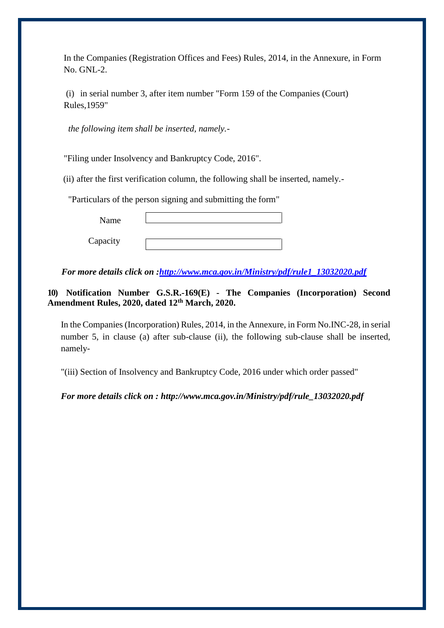In the Companies (Registration Offices and Fees) Rules, 2014, in the Annexure, in Form No. GNL-2.

(i) in serial number 3, after item number "Form 159 of the Companies (Court) Rules,1959"

*the following item shall be inserted, namely.-*

"Filing under Insolvency and Bankruptcy Code, 2016".

(ii) after the first verification column, the following shall be inserted, namely.-

"Particulars of the person signing and submitting the form"

| Name     |  |
|----------|--|
| Capacity |  |

*For more details click on [:http://www.mca.gov.in/Ministry/pdf/rule1\\_13032020.pdf](http://www.mca.gov.in/Ministry/pdf/rule1_13032020.pdf)* 

# **10) Notification Number G.S.R.-169(E) - The Companies (Incorporation) Second Amendment Rules, 2020, dated 12th March, 2020.**

In the Companies (Incorporation) Rules, 2014, in the Annexure, in Form No.INC-28, in serial number 5, in clause (a) after sub-clause (ii), the following sub-clause shall be inserted, namely-

"(iii) Section of Insolvency and Bankruptcy Code, 2016 under which order passed"

*For more details click on : [http://www.mca.gov.in/Ministry/pdf/rule\\_13032020.pdf](http://www.mca.gov.in/Ministry/pdf/rule_13032020.pdf)*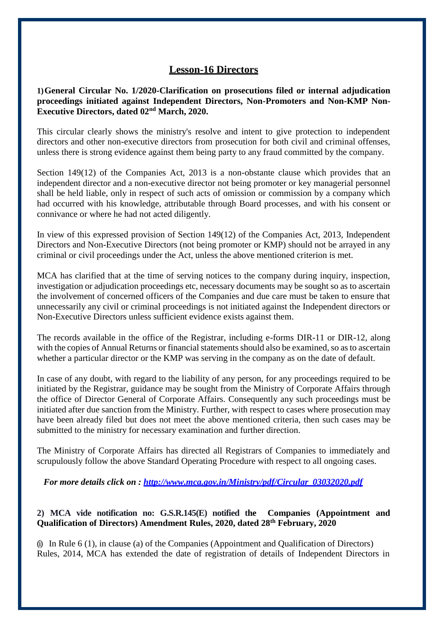# **Lesson-16 Directors**

**1)General Circular No. 1/2020-Clarification on prosecutions filed or internal adjudication proceedings initiated against Independent Directors, Non-Promoters and Non-KMP Non-Executive Directors, dated 02nd March, 2020.**

This circular clearly shows the ministry's resolve and intent to give protection to independent directors and other non-executive directors from prosecution for both civil and criminal offenses, unless there is strong evidence against them being party to any fraud committed by the company.

Section 149(12) of the Companies Act, 2013 is a non-obstante clause which provides that an independent director and a non-executive director not being promoter or key managerial personnel shall be held liable, only in respect of such acts of omission or commission by a company which had occurred with his knowledge, attributable through Board processes, and with his consent or connivance or where he had not acted diligently.

In view of this expressed provision of Section 149(12) of the Companies Act, 2013, Independent Directors and Non-Executive Directors (not being promoter or KMP) should not be arrayed in any criminal or civil proceedings under the Act, unless the above mentioned criterion is met.

MCA has clarified that at the time of serving notices to the company during inquiry, inspection, investigation or adjudication proceedings etc, necessary documents may be sought so as to ascertain the involvement of concerned officers of the Companies and due care must be taken to ensure that unnecessarily any civil or criminal proceedings is not initiated against the Independent directors or Non-Executive Directors unless sufficient evidence exists against them.

The records available in the office of the Registrar, including e-forms DIR-11 or DIR-12, along with the copies of Annual Returns or financial statements should also be examined, so as to ascertain whether a particular director or the KMP was serving in the company as on the date of default.

In case of any doubt, with regard to the liability of any person, for any proceedings required to be initiated by the Registrar, guidance may be sought from the Ministry of Corporate Affairs through the office of Director General of Corporate Affairs. Consequently any such proceedings must be initiated after due sanction from the Ministry. Further, with respect to cases where prosecution may have been already filed but does not meet the above mentioned criteria, then such cases may be submitted to the ministry for necessary examination and further direction.

The Ministry of Corporate Affairs has directed all Registrars of Companies to immediately and scrupulously follow the above Standard Operating Procedure with respect to all ongoing cases.

*For more details click on : [http://www.mca.gov.in/Ministry/pdf/Circular\\_03032020.pdf](http://www.mca.gov.in/Ministry/pdf/Circular_03032020.pdf)*

### **2) MCA vide notification no: G.S.R.145(E) notified the Companies (Appointment and Qualification of Directors) Amendment Rules, 2020, dated 28th February, 2020**

 $(i)$  In Rule 6 (1), in clause (a) of the Companies (Appointment and Qualification of Directors) Rules, 2014, MCA has extended the date of registration of details of Independent Directors in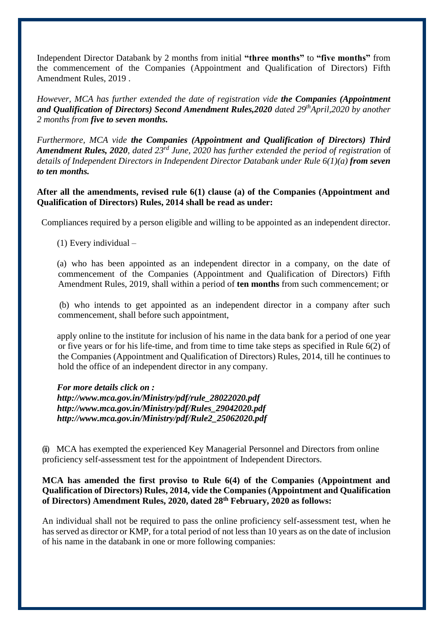Independent Director Databank by 2 months from initial **"three months"** to **"five months"** from the commencement of the Companies (Appointment and Qualification of Directors) Fifth Amendment Rules, 2019 .

*However, MCA has further extended the date of registration vide the Companies (Appointment and Qualification of Directors) Second Amendment Rules,2020 dated 29thApril,2020 by another 2 months from five to seven months.*

*Furthermore, MCA vide the Companies (Appointment and Qualification of Directors) Third Amendment Rules, 2020, dated 23rd June, 2020 has further extended the period of registration* of *details of Independent Directors in Independent Director Databank under Rule 6(1)(a) from seven to ten months.*

### **After all the amendments, revised rule 6(1) clause (a) of the Companies (Appointment and Qualification of Directors) Rules, 2014 shall be read as under:**

Compliances required by a person eligible and willing to be appointed as an independent director.

(1) Every individual –

(a) who has been appointed as an independent director in a company, on the date of commencement of the Companies (Appointment and Qualification of Directors) Fifth Amendment Rules, 2019, shall within a period of **ten months** from such commencement; or

(b) who intends to get appointed as an independent director in a company after such commencement, shall before such appointment,

apply online to the institute for inclusion of his name in the data bank for a period of one year or five years or for his life-time, and from time to time take steps as specified in Rule 6(2) of the Companies (Appointment and Qualification of Directors) Rules, 2014, till he continues to hold the office of an independent director in any company.

*For more details click on : [http://www.mca.gov.in/Ministry/pdf/rule\\_28022020.pdf](http://www.mca.gov.in/Ministry/pdf/rule_28022020.pdf) [http://www.mca.gov.in/Ministry/pdf/Rules\\_29042020.pdf](http://www.mca.gov.in/Ministry/pdf/Rules_29042020.pdf) [http://www.mca.gov.in/Ministry/pdf/Rule2\\_25062020.pdf](http://www.mca.gov.in/Ministry/pdf/Rule2_25062020.pdf)*

(ii) MCA has exempted the experienced Key Managerial Personnel and Directors from online proficiency self-assessment test for the appointment of Independent Directors.

### **MCA has amended the first proviso to Rule 6(4) of the Companies (Appointment and Qualification of Directors) Rules, 2014, vide the Companies (Appointment and Qualification of Directors) Amendment Rules, 2020, dated 28th February, 2020 as follows:**

An individual shall not be required to pass the online proficiency self-assessment test, when he has served as director or KMP, for a total period of not less than 10 years as on the date of inclusion of his name in the databank in one or more following companies: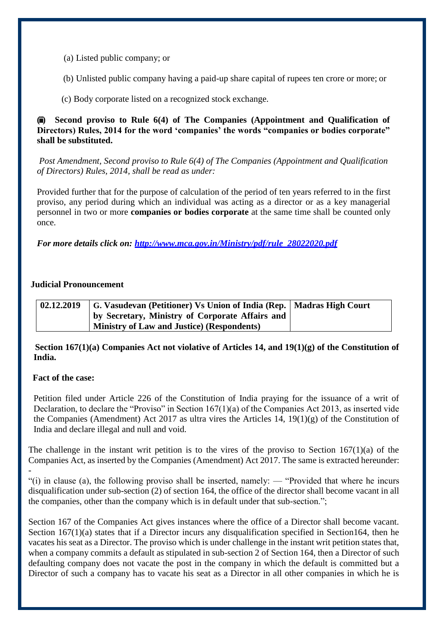- (a) Listed public company; or
- (b) Unlisted public company having a paid-up share capital of rupees ten crore or more; or
- (c) Body corporate listed on a recognized stock exchange.

### **(iii) Second proviso to Rule 6(4) of The Companies (Appointment and Qualification of Directors) Rules, 2014 for the word 'companies' the words "companies or bodies corporate" shall be substituted.**

*Post Amendment, Second proviso to Rule 6(4) of The Companies (Appointment and Qualification of Directors) Rules, 2014, shall be read as under:*

Provided further that for the purpose of calculation of the period of ten years referred to in the first proviso, any period during which an individual was acting as a director or as a key managerial personnel in two or more **companies or bodies corporate** at the same time shall be counted only once.

*For more details click on: [http://www.mca.gov.in/Ministry/pdf/rule\\_28022020.pdf](http://www.mca.gov.in/Ministry/pdf/rule_28022020.pdf)*

### **Judicial Pronouncement**

| 02.12.2019 | G. Vasudevan (Petitioner) Vs Union of India (Rep.   Madras High Court |  |
|------------|-----------------------------------------------------------------------|--|
|            | by Secretary, Ministry of Corporate Affairs and                       |  |
|            | ' Ministry of Law and Justice) (Respondents)                          |  |

 **Section 167(1)(a) Companies Act not violative of Articles 14, and 19(1)(g) of the Constitution of India.**

### **Fact of the case:**

-

Petition filed under Article 226 of the Constitution of India praying for the issuance of a writ of Declaration, to declare the "Proviso" in Section 167(1)(a) of the Companies Act 2013, as inserted vide the Companies (Amendment) Act 2017 as ultra vires the Articles 14, 19(1)(g) of the Constitution of India and declare illegal and null and void.

The challenge in the instant writ petition is to the vires of the proviso to Section  $167(1)(a)$  of the Companies Act, as inserted by the Companies (Amendment) Act 2017. The same is extracted hereunder:

"(i) in clause (a), the following proviso shall be inserted, namely: — "Provided that where he incurs disqualification under sub-section (2) of section 164, the office of the director shall become vacant in all the companies, other than the company which is in default under that sub-section.";

Section 167 of the Companies Act gives instances where the office of a Director shall become vacant. Section 167(1)(a) states that if a Director incurs any disqualification specified in Section164, then he vacates his seat as a Director. The proviso which is under challenge in the instant writ petition states that, when a company commits a default as stipulated in sub-section 2 of Section 164, then a Director of such defaulting company does not vacate the post in the company in which the default is committed but a Director of such a company has to vacate his seat as a Director in all other companies in which he is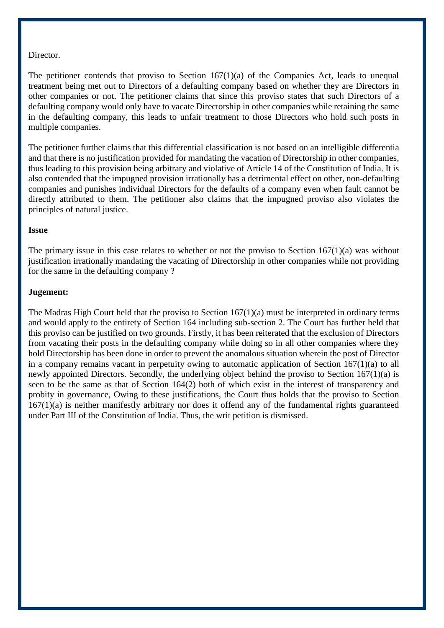#### Director.

The petitioner contends that proviso to Section  $167(1)(a)$  of the Companies Act, leads to unequal treatment being met out to Directors of a defaulting company based on whether they are Directors in other companies or not. The petitioner claims that since this proviso states that such Directors of a defaulting company would only have to vacate Directorship in other companies while retaining the same in the defaulting company, this leads to unfair treatment to those Directors who hold such posts in multiple companies.

The petitioner further claims that this differential classification is not based on an intelligible differentia and that there is no justification provided for mandating the vacation of Directorship in other companies, thus leading to this provision being arbitrary and violative of Article 14 of the Constitution of India. It is also contended that the impugned provision irrationally has a detrimental effect on other, non-defaulting companies and punishes individual Directors for the defaults of a company even when fault cannot be directly attributed to them. The petitioner also claims that the impugned proviso also violates the principles of natural justice.

#### **Issue**

The primary issue in this case relates to whether or not the proviso to Section  $167(1)(a)$  was without justification irrationally mandating the vacating of Directorship in other companies while not providing for the same in the defaulting company ?

### **Jugement:**

The Madras High Court held that the proviso to Section 167(1)(a) must be interpreted in ordinary terms and would apply to the entirety of Section 164 including sub-section 2. The Court has further held that this proviso can be justified on two grounds. Firstly, it has been reiterated that the exclusion of Directors from vacating their posts in the defaulting company while doing so in all other companies where they hold Directorship has been done in order to prevent the anomalous situation wherein the post of Director in a company remains vacant in perpetuity owing to automatic application of Section 167(1)(a) to all newly appointed Directors. Secondly, the underlying object behind the proviso to Section 167(1)(a) is seen to be the same as that of Section 164(2) both of which exist in the interest of transparency and probity in governance, Owing to these justifications, the Court thus holds that the proviso to Section 167(1)(a) is neither manifestly arbitrary nor does it offend any of the fundamental rights guaranteed under Part III of the Constitution of India. Thus, the writ petition is dismissed.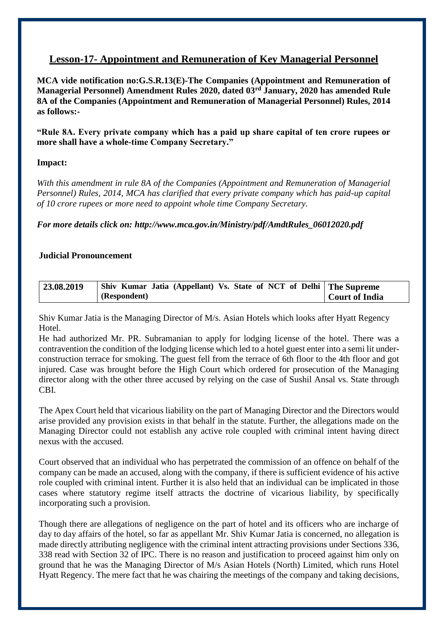# **Lesson-17- Appointment and Remuneration of Key Managerial Personnel**

**MCA vide notification no:G.S.R.13(E)-The Companies (Appointment and Remuneration of Managerial Personnel) Amendment Rules 2020, dated 03rd January, 2020 has amended Rule 8A of the Companies (Appointment and Remuneration of Managerial Personnel) Rules, 2014 as follows:-**

**"Rule 8A. Every private company which has a paid up share capital of ten crore rupees or more shall have a whole-time Company Secretary."**

# **Impact:**

*With this amendment in rule 8A of the Companies (Appointment and Remuneration of Managerial Personnel) Rules, 2014, MCA has clarified that every private company which has paid-up capital of 10 crore rupees or more need to appoint whole time Company Secretary.*

*For more details click on: [http://www.mca.gov.in/Ministry/pdf/AmdtRules\\_06012020.pdf](http://www.mca.gov.in/Ministry/pdf/AmdtRules_06012020.pdf)*

### **Judicial Pronouncement**

| 23.08.2019 | Shiv Kumar Jatia (Appellant) Vs. State of NCT of Delhi   The Supreme |                |
|------------|----------------------------------------------------------------------|----------------|
|            | (Respondent)                                                         | Court of India |

Shiv Kumar Jatia is the Managing Director of M/s. Asian Hotels which looks after Hyatt Regency Hotel.

He had authorized Mr. PR. Subramanian to apply for lodging license of the hotel. There was a contravention the condition of the lodging license which led to a hotel guest enter into a semi lit underconstruction terrace for smoking. The guest fell from the terrace of 6th floor to the 4th floor and got injured. Case was brought before the High Court which ordered for prosecution of the Managing director along with the other three accused by relying on the case of Sushil Ansal vs. State through CBI.

The Apex Court held that vicarious liability on the part of Managing Director and the Directors would arise provided any provision exists in that behalf in the statute. Further, the allegations made on the Managing Director could not establish any active role coupled with criminal intent having direct nexus with the accused.

Court observed that an individual who has perpetrated the commission of an offence on behalf of the company can be made an accused, along with the company, if there is sufficient evidence of his active role coupled with criminal intent. Further it is also held that an individual can be implicated in those cases where statutory regime itself attracts the doctrine of vicarious liability, by specifically incorporating such a provision.

Though there are allegations of negligence on the part of hotel and its officers who are incharge of day to day affairs of the hotel, so far as appellant Mr. Shiv Kumar Jatia is concerned, no allegation is made directly attributing negligence with the criminal intent attracting provisions under Sections 336, 338 read with Section 32 of IPC. There is no reason and justification to proceed against him only on ground that he was the Managing Director of M/s Asian Hotels (North) Limited, which runs Hotel Hyatt Regency. The mere fact that he was chairing the meetings of the company and taking decisions,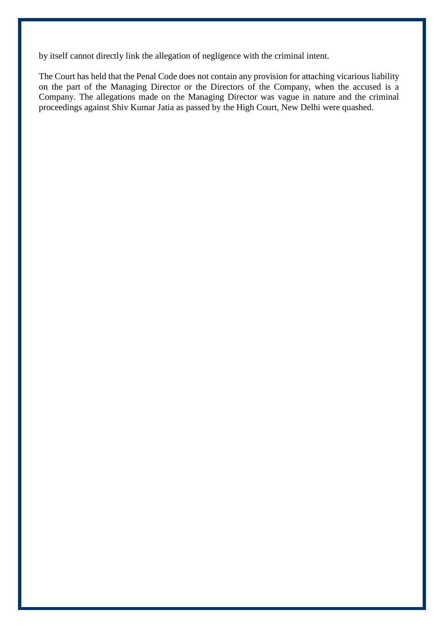by itself cannot directly link the allegation of negligence with the criminal intent.

The Court has held that the Penal Code does not contain any provision for attaching vicarious liability on the part of the Managing Director or the Directors of the Company, when the accused is a Company. The allegations made on the Managing Director was vague in nature and the criminal proceedings against Shiv Kumar Jatia as passed by the High Court, New Delhi were quashed.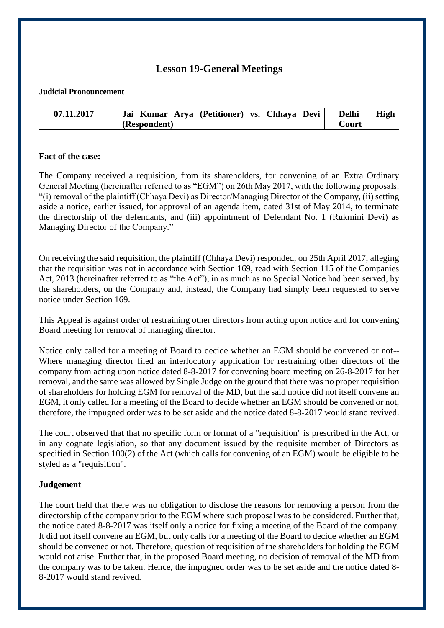# **Lesson 19-General Meetings**

#### **Judicial Pronouncement**

| 07.11.2017 | Jai Kumar Arya (Petitioner) vs. Chhaya Devi | <b>Delhi</b> | High |
|------------|---------------------------------------------|--------------|------|
|            | (Respondent)                                | Court        |      |

### **Fact of the case:**

The Company received a requisition, from its shareholders, for convening of an Extra Ordinary General Meeting (hereinafter referred to as "EGM") on 26th May 2017, with the following proposals: "(i) removal of the plaintiff (Chhaya Devi) as Director/Managing Director of the Company, (ii) setting aside a notice, earlier issued, for approval of an agenda item, dated 31st of May 2014, to terminate the directorship of the defendants, and (iii) appointment of Defendant No. 1 (Rukmini Devi) as Managing Director of the Company."

On receiving the said requisition, the plaintiff (Chhaya Devi) responded, on 25th April 2017, alleging that the requisition was not in accordance with Section 169, read with Section 115 of the Companies Act, 2013 (hereinafter referred to as "the Act"), in as much as no Special Notice had been served, by the shareholders, on the Company and, instead, the Company had simply been requested to serve notice under Section 169.

This Appeal is against order of restraining other directors from acting upon notice and for convening Board meeting for removal of managing director.

Notice only called for a meeting of Board to decide whether an EGM should be convened or not-- Where managing director filed an interlocutory application for restraining other directors of the company from acting upon notice dated 8-8-2017 for convening board meeting on 26-8-2017 for her removal, and the same was allowed by Single Judge on the ground that there was no proper requisition of shareholders for holding EGM for removal of the MD, but the said notice did not itself convene an EGM, it only called for a meeting of the Board to decide whether an EGM should be convened or not, therefore, the impugned order was to be set aside and the notice dated 8-8-2017 would stand revived.

The court observed that that no specific form or format of a "requisition" is prescribed in the Act, or in any cognate legislation, so that any document issued by the requisite member of Directors as specified in Section 100(2) of the Act (which calls for convening of an EGM) would be eligible to be styled as a "requisition".

### **Judgement**

The court held that there was no obligation to disclose the reasons for removing a person from the directorship of the company prior to the EGM where such proposal was to be considered. Further that, the notice dated 8-8-2017 was itself only a notice for fixing a meeting of the Board of the company. It did not itself convene an EGM, but only calls for a meeting of the Board to decide whether an EGM should be convened or not. Therefore, question of requisition of the shareholders for holding the EGM would not arise. Further that, in the proposed Board meeting, no decision of removal of the MD from the company was to be taken. Hence, the impugned order was to be set aside and the notice dated 8- 8-2017 would stand revived.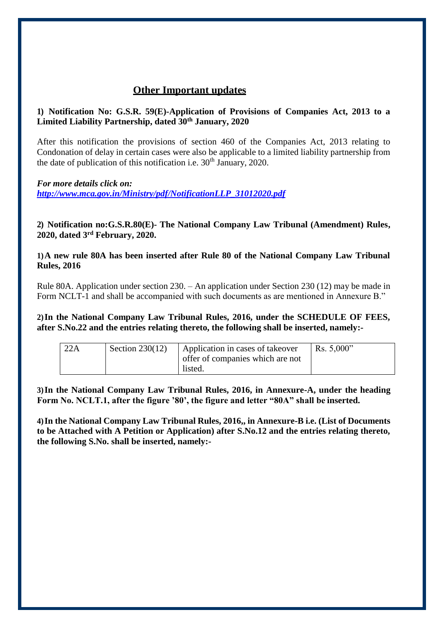# **Other Important updates**

# **1) Notification No: G.S.R. 59(E)-Application of Provisions of Companies Act, 2013 to a Limited Liability Partnership, dated 30th January, 2020**

After this notification the provisions of section 460 of the Companies Act, 2013 relating to Condonation of delay in certain cases were also be applicable to a limited liability partnership from the date of publication of this notification i.e.  $30<sup>th</sup>$  January, 2020.

*For more details click on: [http://www.mca.gov.in/Ministry/pdf/NotificationLLP\\_31012020.pdf](http://www.mca.gov.in/Ministry/pdf/NotificationLLP_31012020.pdf)*

**2) Notification no:G.S.R.80(E)- The National Company Law Tribunal (Amendment) Rules, 2020, dated 3rd February, 2020.**

**1)A new rule 80A has been inserted after Rule 80 of the National Company Law Tribunal Rules, 2016**

Rule 80A. Application under section 230. – An application under Section 230 (12) may be made in Form NCLT-1 and shall be accompanied with such documents as are mentioned in Annexure B."

**2)In the National Company Law Tribunal Rules, 2016, under the SCHEDULE OF FEES, after S.No.22 and the entries relating thereto, the following shall be inserted, namely:-**

| 22A | Section $230(12)$ | Application in cases of takeover<br>offer of companies which are not<br>listed. | Rs. $5,000$ " |
|-----|-------------------|---------------------------------------------------------------------------------|---------------|
|     |                   |                                                                                 |               |

**3)In the National Company Law Tribunal Rules, 2016, in Annexure-A, under the heading Form No. NCLT.1, after the figure '80', the figure and letter "80A" shall be inserted.**

**4)In the National Company Law Tribunal Rules, 2016,, in Annexure-B i.e. (List of Documents to be Attached with A Petition or Application) after S.No.12 and the entries relating thereto, the following S.No. shall be inserted, namely:-**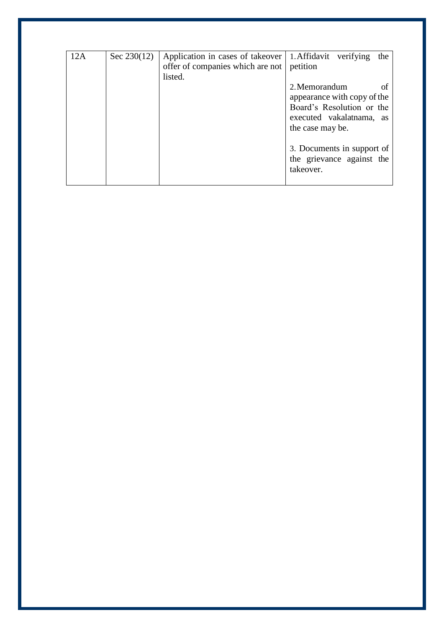| 12A | Sec $230(12)$ | Application in cases of takeover   1. Affidavit verifying | the                                                      |  |
|-----|---------------|-----------------------------------------------------------|----------------------------------------------------------|--|
|     |               | offer of companies which are not petition                 |                                                          |  |
|     |               | listed.                                                   |                                                          |  |
|     |               |                                                           | 2. Memorandum                                            |  |
|     |               |                                                           | appearance with copy of the<br>Board's Resolution or the |  |
|     |               |                                                           |                                                          |  |
|     |               |                                                           | executed vakalatnama, as                                 |  |
|     |               |                                                           |                                                          |  |
|     |               |                                                           | the case may be.                                         |  |
|     |               |                                                           |                                                          |  |
|     |               |                                                           | 3. Documents in support of                               |  |
|     |               |                                                           | the grievance against the                                |  |
|     |               |                                                           |                                                          |  |
|     |               |                                                           | takeover.                                                |  |
|     |               |                                                           |                                                          |  |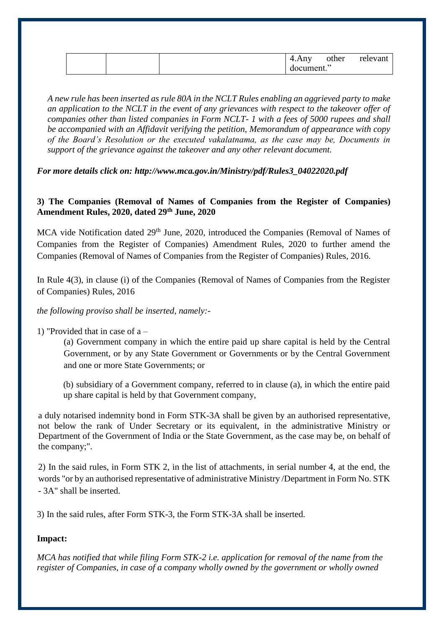|  | 4.Any<br>document." | other | relevant |
|--|---------------------|-------|----------|
|--|---------------------|-------|----------|

*A new rule has been inserted as rule 80A in the NCLT Rules enabling an aggrieved party to make an application to the NCLT in the event of any grievances with respect to the takeover offer of companies other than listed companies in Form NCLT- 1 with a fees of 5000 rupees and shall be accompanied with an Affidavit verifying the petition, Memorandum of appearance with copy of the Board's Resolution or the executed vakalatnama, as the case may be, Documents in support of the grievance against the takeover and any other relevant document.*

*For more details click on: [http://www.mca.gov.in/Ministry/pdf/Rules3\\_04022020.pdf](http://www.mca.gov.in/Ministry/pdf/Rules3_04022020.pdf)*

# **3) The Companies (Removal of Names of Companies from the Register of Companies) Amendment Rules, 2020, dated 29th June, 2020**

MCA vide Notification dated 29<sup>th</sup> June, 2020, introduced the Companies (Removal of Names of Companies from the Register of Companies) Amendment Rules, 2020 to further amend the Companies (Removal of Names of Companies from the Register of Companies) Rules, 2016.

In Rule 4(3), in clause (i) of the Companies (Removal of Names of Companies from the Register of Companies) Rules, 2016

### *the following proviso shall be inserted, namely:-*

# 1) "Provided that in case of  $a -$

(a) Government company in which the entire paid up share capital is held by the Central Government, or by any State Government or Governments or by the Central Government and one or more State Governments; or

(b) subsidiary of a Government company, referred to in clause (a), in which the entire paid up share capital is held by that Government company,

a duly notarised indemnity bond in Form STK-3A shall be given by an authorised representative, not below the rank of Under Secretary or its equivalent, in the administrative Ministry or Department of the Government of India or the State Government, as the case may be, on behalf of the company;".

2) In the said rules, in Form STK 2, in the list of attachments, in serial number 4, at the end, the words "or by an authorised representative of administrative Ministry /Department in Form No. STK - 3A" shall be inserted.

3) In the said rules, after Form STK-3, the Form STK-3A shall be inserted.

# **Impact:**

*MCA has notified that while filing Form STK-2 i.e. application for removal of the name from the register of Companies, in case of a company wholly owned by the government or wholly owned*